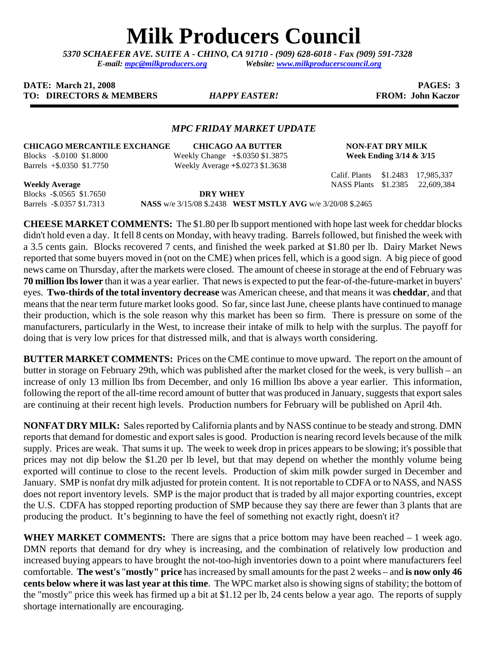# **Milk Producers Council**

*5370 SCHAEFER AVE. SUITE A* **-** *CHINO, CA 91710 - (909) 628-6018 - Fax (909) 591-7328 E-mail: [mpc@milkproducers.org](mailto:mpc@milkproducers.org) Website: [www.milkproducerscouncil.org](http://www.milkproducerscouncil.org/)* 

# **DATE:** March 21, 2008 **PAGES:** 3 **TO: DIRECTORS & MEMBERS** *HAPPY EASTER!* **FROM: John Kaczor**

## *MPC FRIDAY MARKET UPDATE*

### **CHICAGO MERCANTILE EXCHANGE CHICAGO AA BUTTER NON-FAT DRY MILK**

Blocks -\$.0100 \$1.8000 Weekly Change +\$.0350 \$1.3875 **Week Ending 3/14 & 3/15**  Barrels +\$.0350 \$1.7750 Weekly Average **+**\$.0273 \$1.3638

Calif. Plants \$1.2483 17,985,337 **Weekly Average** NASS Plants \$1.2385 22,609,384

Blocks -\$.0565 \$1.7650 **DRY WHEY** 

Barrels -\$.0357 \$1.7313 **NASS** w/e 3/15/08 \$.2438 **WEST MSTLY AVG** w/e 3/20/08 \$.2465

**CHEESE MARKET COMMENTS:** The \$1.80 per lb support mentioned with hope last week for cheddar blocks didn't hold even a day. It fell 8 cents on Monday, with heavy trading. Barrels followed, but finished the week with a 3.5 cents gain. Blocks recovered 7 cents, and finished the week parked at \$1.80 per lb. Dairy Market News reported that some buyers moved in (not on the CME) when prices fell, which is a good sign. A big piece of good news came on Thursday, after the markets were closed. The amount of cheese in storage at the end of February was **70 million lbs lower** than it was a year earlier. That news is expected to put the fear-of-the-future-market in buyers' eyes. **Two-thirds of the total inventory decrease** was American cheese, and that means it was **cheddar**, and that means that the near term future market looks good. So far, since last June, cheese plants have continued to manage their production, which is the sole reason why this market has been so firm. There is pressure on some of the manufacturers, particularly in the West, to increase their intake of milk to help with the surplus. The payoff for doing that is very low prices for that distressed milk, and that is always worth considering.

**BUTTER MARKET COMMENTS:** Prices on the CME continue to move upward. The report on the amount of butter in storage on February 29th, which was published after the market closed for the week, is very bullish – an increase of only 13 million lbs from December, and only 16 million lbs above a year earlier. This information, following the report of the all-time record amount of butter that was produced in January, suggests that export sales are continuing at their recent high levels. Production numbers for February will be published on April 4th.

**NONFAT DRY MILK:** Sales reported by California plants and by NASS continue to be steady and strong. DMN reports that demand for domestic and export sales is good. Production is nearing record levels because of the milk supply. Prices are weak. That sums it up. The week to week drop in prices appears to be slowing; it's possible that prices may not dip below the \$1.20 per lb level, but that may depend on whether the monthly volume being exported will continue to close to the recent levels. Production of skim milk powder surged in December and January. SMP is nonfat dry milk adjusted for protein content. It is not reportable to CDFA or to NASS, and NASS does not report inventory levels. SMP is the major product that is traded by all major exporting countries, except the U.S. CDFA has stopped reporting production of SMP because they say there are fewer than 3 plants that are producing the product. It's beginning to have the feel of something not exactly right, doesn't it?

**WHEY MARKET COMMENTS:** There are signs that a price bottom may have been reached – 1 week ago. DMN reports that demand for dry whey is increasing, and the combination of relatively low production and increased buying appears to have brought the not-too-high inventories down to a point where manufacturers feel comfortable. **The west's** "**mostly" price** has increased by small amounts for the past 2 weeks – and **is now only 46 cents below where it was last year at this time**. The WPC market also is showing signs of stability; the bottom of the "mostly" price this week has firmed up a bit at \$1.12 per lb, 24 cents below a year ago. The reports of supply shortage internationally are encouraging.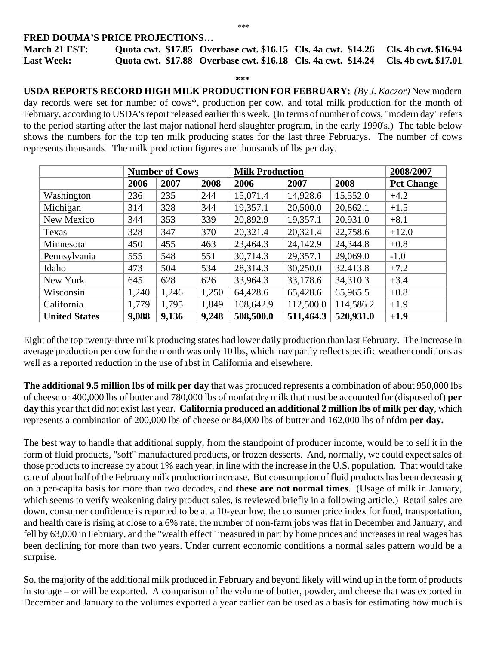#### \*\*\*

# **FRED DOUMA'S PRICE PROJECTIONS…**

| March 21 EST:     | Quota cwt. \$17.85 Overbase cwt. \$16.15 Cls. 4a cwt. \$14.26 Cls. 4b cwt. \$16.94 |  |
|-------------------|------------------------------------------------------------------------------------|--|
| <b>Last Week:</b> | Quota cwt. \$17.88 Overbase cwt. \$16.18 Cls. 4a cwt. \$14.24 Cls. 4b cwt. \$17.01 |  |

#### **\*\*\***

**USDA REPORTS RECORD HIGH MILK PRODUCTION FOR FEBRUARY:** *(By J. Kaczor)* New modern day records were set for number of cows\*, production per cow, and total milk production for the month of February, according to USDA's report released earlier this week. (In terms of number of cows, "modern day" refers to the period starting after the last major national herd slaughter program, in the early 1990's.) The table below shows the numbers for the top ten milk producing states for the last three Februarys. The number of cows represents thousands. The milk production figures are thousands of lbs per day.

|                      | <b>Number of Cows</b> |       | <b>Milk Production</b> |           | 2008/2007 |           |                   |
|----------------------|-----------------------|-------|------------------------|-----------|-----------|-----------|-------------------|
|                      | 2006                  | 2007  | 2008                   | 2006      | 2007      | 2008      | <b>Pct Change</b> |
| Washington           | 236                   | 235   | 244                    | 15,071.4  | 14,928.6  | 15,552.0  | $+4.2$            |
| Michigan             | 314                   | 328   | 344                    | 19,357.1  | 20,500.0  | 20,862.1  | $+1.5$            |
| New Mexico           | 344                   | 353   | 339                    | 20,892.9  | 19,357.1  | 20,931.0  | $+8.1$            |
| Texas                | 328                   | 347   | 370                    | 20,321.4  | 20,321.4  | 22,758.6  | $+12.0$           |
| Minnesota            | 450                   | 455   | 463                    | 23,464.3  | 24,142.9  | 24,344.8  | $+0.8$            |
| Pennsylvania         | 555                   | 548   | 551                    | 30,714.3  | 29,357.1  | 29,069.0  | $-1.0$            |
| Idaho                | 473                   | 504   | 534                    | 28,314.3  | 30,250.0  | 32.413.8  | $+7.2$            |
| New York             | 645                   | 628   | 626                    | 33,964.3  | 33,178.6  | 34,310.3  | $+3.4$            |
| Wisconsin            | 1,240                 | 1,246 | 1,250                  | 64,428.6  | 65,428.6  | 65,965.5  | $+0.8$            |
| California           | 1,779                 | 1,795 | 1,849                  | 108,642.9 | 112,500.0 | 114,586.2 | $+1.9$            |
| <b>United States</b> | 9,088                 | 9,136 | 9,248                  | 508,500.0 | 511,464.3 | 520,931.0 | $+1.9$            |

Eight of the top twenty-three milk producing states had lower daily production than last February. The increase in average production per cow for the month was only 10 lbs, which may partly reflect specific weather conditions as well as a reported reduction in the use of rbst in California and elsewhere.

**The additional 9.5 million lbs of milk per day** that was produced represents a combination of about 950,000 lbs of cheese or 400,000 lbs of butter and 780,000 lbs of nonfat dry milk that must be accounted for (disposed of) **per day** this year that did not exist last year. **California produced an additional 2 million lbs of milk per day**, which represents a combination of 200,000 lbs of cheese or 84,000 lbs of butter and 162,000 lbs of nfdm **per day.** 

The best way to handle that additional supply, from the standpoint of producer income, would be to sell it in the form of fluid products, "soft" manufactured products, or frozen desserts. And, normally, we could expect sales of those products to increase by about 1% each year, in line with the increase in the U.S. population. That would take care of about half of the February milk production increase. But consumption of fluid products has been decreasing on a per-capita basis for more than two decades, and **these are not normal times**. (Usage of milk in January, which seems to verify weakening dairy product sales, is reviewed briefly in a following article.) Retail sales are down, consumer confidence is reported to be at a 10-year low, the consumer price index for food, transportation, and health care is rising at close to a 6% rate, the number of non-farm jobs was flat in December and January, and fell by 63,000 in February, and the "wealth effect" measured in part by home prices and increases in real wages has been declining for more than two years. Under current economic conditions a normal sales pattern would be a surprise.

So, the majority of the additional milk produced in February and beyond likely will wind up in the form of products in storage – or will be exported. A comparison of the volume of butter, powder, and cheese that was exported in December and January to the volumes exported a year earlier can be used as a basis for estimating how much is